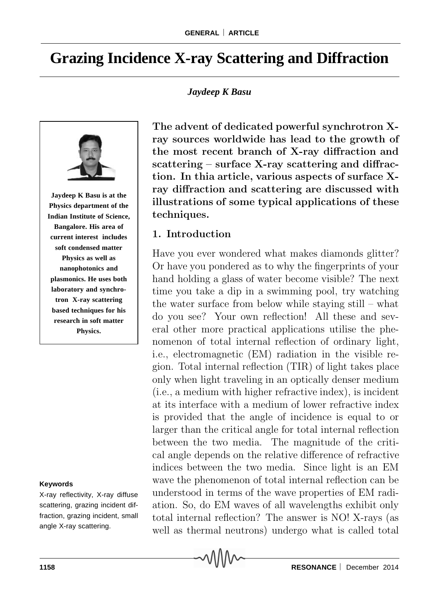# **Grazing Incidence X-ray Scattering and Diffraction**

### *Jaydeep K Basu*



**Jaydeep K Basu is at the Physics department of the Indian Institute of Science, Bangalore. His area of current interest includes soft condensed matter Physics as well as nanophotonics and plasmonics. He uses both laboratory and synchrotron X-ray scattering based techniques for his research in soft matter Physics.**

#### **Keywords**

X-ray reflectivity, X-ray diffuse scattering, grazing incident diffraction, grazing incident, small angle X-ray scattering.

**The advent of dedicated powerful synchrotron Xray sources worldwide has lead to the growth of the most recent branch of X-ray diffraction and scattering – surface X-ray scattering and diffraction. In thia article, various aspects of surface Xray diffraction and scattering are discussed with illustrations of some typical applications of these techniques.**

### **1. Introduction**

Have you ever wondered what makes diamonds glitter? Or have you pondered as to why the fingerprints of your hand holding a glass of water become visible? The next time you take a dip in a swimming pool, try watching the water surface from below while staying still – what do you see? Your own reflection! All these and several other more practical applications utilise the phenomenon of total internal reflection of ordinary light, i.e., electromagnetic (EM) radiation in the visible region. Total internal reflection (TIR) of light takes place only when light traveling in an optically denser medium (i.e., a medium with higher refractive index), is incident at its interface with a medium of lower refractive index is provided that the angle of incidence is equal to or larger than the critical angle for total internal reflection between the two media. The magnitude of the critical angle depends on the relative difference of refractive indices between the two media. Since light is an EM wave the phenomenon of total internal reflection can be understood in terms of the wave properties of EM radiation. So, do EM waves of all wavelengths exhibit only total internal reflection? The answer is NO! X-rays (as well as thermal neutrons) undergo what is called total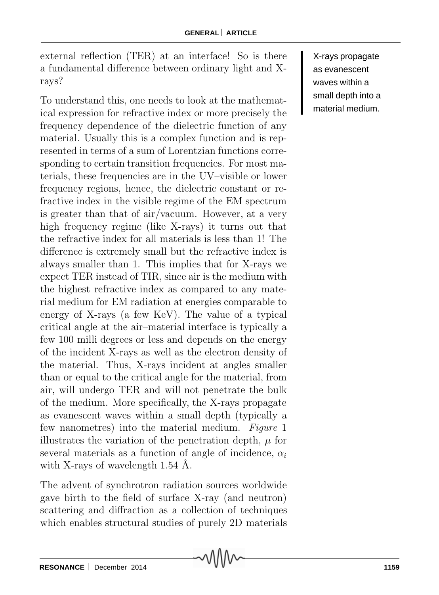external reflection (TER) at an interface! So is there a fundamental difference between ordinary light and Xrays?

To understand this, one needs to look at the mathematical expression for refractive index or more precisely the frequency dependence of the dielectric function of any material. Usually this is a complex function and is represented in terms of a sum of Lorentzian functions corresponding to certain transition frequencies. For most materials, these frequencies are in the UV–visible or lower frequency regions, hence, the dielectric constant or refractive index in the visible regime of the EM spectrum is greater than that of air/vacuum. However, at a very high frequency regime (like X-rays) it turns out that the refractive index for all materials is less than 1! The difference is extremely small but the refractive index is always smaller than 1. This implies that for X-rays we expect TER instead of TIR, since air is the medium with the highest refractive index as compared to any material medium for EM radiation at energies comparable to energy of X-rays (a few KeV). The value of a typical critical angle at the air–material interface is typically a few 100 milli degrees or less and depends on the energy of the incident X-rays as well as the electron density of the material. Thus, X-rays incident at angles smaller than or equal to the critical angle for the material, from air, will undergo TER and will not penetrate the bulk of the medium. More specifically, the X-rays propagate as evanescent waves within a small depth (typically a few nanometres) into the material medium. *Figure* <sup>1</sup> illustrates the variation of the penetration depth,  $\mu$  for several materials as a function of angle of incidence, α*<sup>i</sup>* with X-rays of wavelength  $1.54 \text{ Å}$ .

The advent of synchrotron radiation sources worldwide gave birth to the field of surface X-ray (and neutron) scattering and diffraction as a collection of techniques which enables structural studies of purely 2D materials X-rays propagate as evanescent waves within a small depth into a material medium.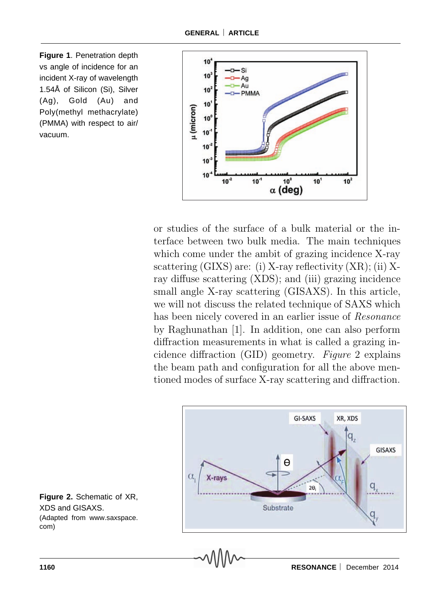

or studies of the surface of a bulk material or the interface between two bulk media. The main techniques which come under the ambit of grazing incidence X-ray scattering (GIXS) are: (i) X-ray reflectivity (XR); (ii) Xray diffuse scattering (XDS); and (iii) grazing incidence small angle X-ray scattering (GISAXS). In this article, we will not discuss the related technique of SAXS which has been nicely covered in an earlier issue of *Resonance* by Raghunathan [1]. In addition, one can also perform diffraction measurements in what is called a grazing incidence diffraction (GID) geometry. *Figure* 2 explains the beam path and configuration for all the above mentioned modes of surface X-ray scattering and diffraction.



**Figure 1**. Penetration depth vs angle of incidence for an incident X-ray of wavelength 1.54Å of Silicon (Si), Silver (Ag), Gold (Au) and Poly(methyl methacrylate) (PMMA) with respect to air/ vacuum.

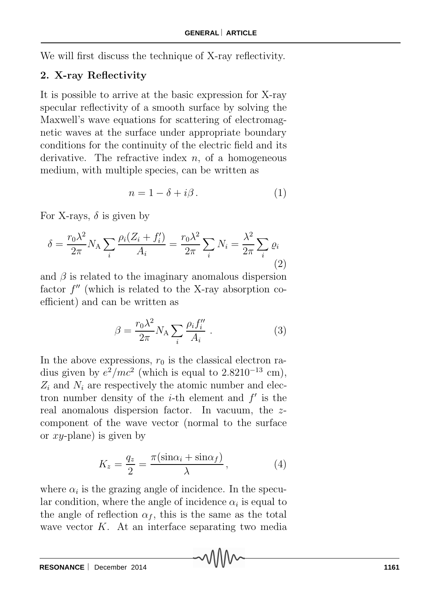We will first discuss the technique of X-ray reflectivity.

# **2. X-ray Reflectivity**

It is possible to arrive at the basic expression for X-ray specular reflectivity of a smooth surface by solving the Maxwell's wave equations for scattering of electromagnetic waves at the surface under appropriate boundary conditions for the continuity of the electric field and its derivative. The refractive index  $n$ , of a homogeneous medium, with multiple species, can be written as

$$
n = 1 - \delta + i\beta. \tag{1}
$$

For X-rays,  $\delta$  is given by

$$
\delta = \frac{r_0 \lambda^2}{2\pi} N_A \sum_i \frac{\rho_i (Z_i + f_i')}{A_i} = \frac{r_0 \lambda^2}{2\pi} \sum_i N_i = \frac{\lambda^2}{2\pi} \sum_i \varrho_i
$$
\n(2)

and  $\beta$  is related to the imaginary anomalous dispersion factor  $f''$  (which is related to the X-ray absorption coefficient) and can be written as

$$
\beta = \frac{r_0 \lambda^2}{2\pi} N_A \sum_i \frac{\rho_i f_i''}{A_i} \,. \tag{3}
$$

In the above expressions,  $r_0$  is the classical electron radius given by  $e^2/mc^2$  (which is equal to 2.8210<sup>−13</sup> cm),  $Z_i$  and  $N_i$  are respectively the atomic number and electron number density of the *i*-th element and  $f'$  is the real anomalous dispersion factor. In vacuum, the zcomponent of the wave vector (normal to the surface or xy-plane) is given by

$$
K_z = \frac{q_z}{2} = \frac{\pi(\sin\alpha_i + \sin\alpha_f)}{\lambda},\tag{4}
$$

where  $\alpha_i$  is the grazing angle of incidence. In the specular condition, where the angle of incidence  $\alpha_i$  is equal to the angle of reflection  $\alpha_f$ , this is the same as the total wave vector  $K$ . At an interface separating two media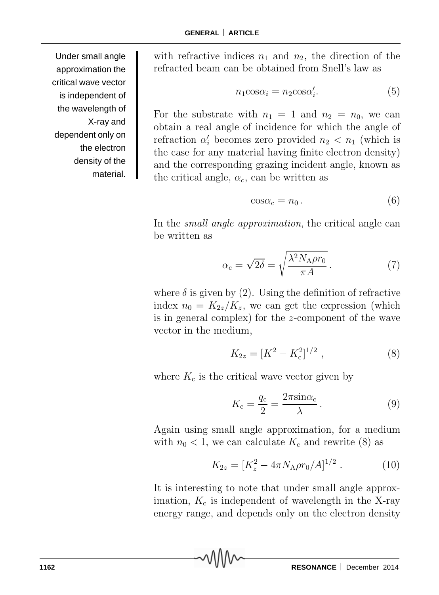Under small angle approximation the critical wave vector is independent of the wavelength of X-ray and dependent only on the electron density of the material.

with refractive indices  $n_1$  and  $n_2$ , the direction of the refracted beam can be obtained from Snell's law as

$$
n_1 \cos \alpha_i = n_2 \cos \alpha'_i. \tag{5}
$$

For the substrate with  $n_1 = 1$  and  $n_2 = n_0$ , we can obtain a real angle of incidence for which the angle of refraction  $\alpha'_i$  becomes zero provided  $n_2 < n_1$  (which is the case for any material having finite electron density) and the corresponding grazing incident angle, known as the critical angle,  $\alpha_c$ , can be written as

$$
\cos \alpha_{\rm c} = n_0 \,. \tag{6}
$$

In the *small angle approximation*, the critical angle can be written as

$$
\alpha_{\rm c} = \sqrt{2\delta} = \sqrt{\frac{\lambda^2 N_{\rm A}\rho r_0}{\pi A}}\,. \tag{7}
$$

where  $\delta$  is given by (2). Using the definition of refractive index  $n_0 = K_{2z}/K_z$ , we can get the expression (which is in general complex) for the z-component of the wave vector in the medium,

$$
K_{2z} = [K^2 - K_c^2]^{1/2} \t{, \t(8)}
$$

where  $K_c$  is the critical wave vector given by

$$
K_{\rm c} = \frac{q_{\rm c}}{2} = \frac{2\pi \sin \alpha_{\rm c}}{\lambda} \,. \tag{9}
$$

Again using small angle approximation, for a medium with  $n_0 < 1$ , we can calculate  $K_c$  and rewrite (8) as

$$
K_{2z} = [K_z^2 - 4\pi N_A \rho r_0 / A]^{1/2} . \tag{10}
$$

It is interesting to note that under small angle approximation,  $K_c$  is independent of wavelength in the X-ray energy range, and depends only on the electron density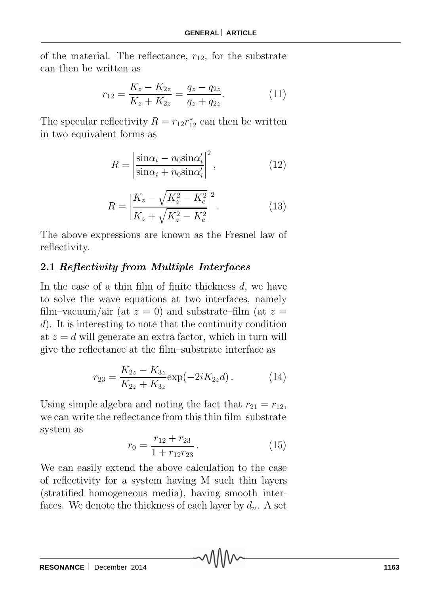of the material. The reflectance,  $r_{12}$ , for the substrate can then be written as

$$
r_{12} = \frac{K_z - K_{2z}}{K_z + K_{2z}} = \frac{q_z - q_{2z}}{q_z + q_{2z}}.\tag{11}
$$

The specular reflectivity  $R = r_{12}r_{12}^*$  can then be written in two equivalent forms as

$$
R = \left| \frac{\sin \alpha_i - n_0 \sin \alpha'_i}{\sin \alpha_i + n_0 \sin \alpha'_i} \right|^2, \qquad (12)
$$

$$
R = \left| \frac{K_z - \sqrt{K_z^2 - K_c^2}}{K_z + \sqrt{K_z^2 - K_c^2}} \right|^2.
$$
 (13)

The above expressions are known as the Fresnel law of reflectivity.

#### **2.1** *Reflectivity from Multiple Interfaces*

In the case of a thin film of finite thickness  $d$ , we have to solve the wave equations at two interfaces, namely film–vacuum/air (at  $z = 0$ ) and substrate–film (at  $z =$ d). It is interesting to note that the continuity condition at  $z = d$  will generate an extra factor, which in turn will give the reflectance at the film–substrate interface as

$$
r_{23} = \frac{K_{2z} - K_{3z}}{K_{2z} + K_{3z}} \exp(-2iK_{2z}d). \tag{14}
$$

Using simple algebra and noting the fact that  $r_{21} = r_{12}$ , we can write the reflectance from this thin film substrate system as

$$
r_0 = \frac{r_{12} + r_{23}}{1 + r_{12}r_{23}}.\t(15)
$$

We can easily extend the above calculation to the case of reflectivity for a system having M such thin layers (stratified homogeneous media), having smooth interfaces. We denote the thickness of each layer by  $d_n$ . A set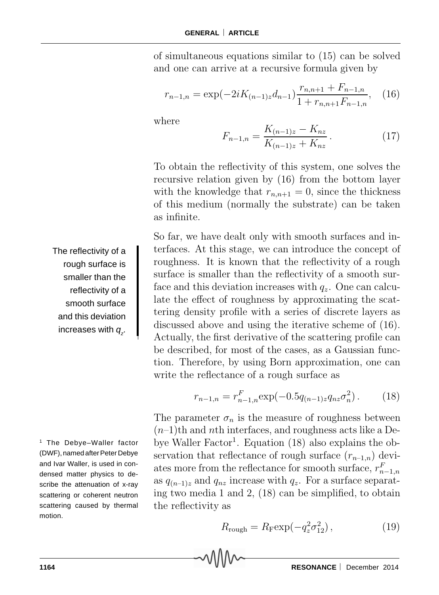of simultaneous equations similar to (15) can be solved and one can arrive at a recursive formula given by

$$
r_{n-1,n} = \exp(-2iK_{(n-1)z}d_{n-1})\frac{r_{n,n+1} + F_{n-1,n}}{1 + r_{n,n+1}F_{n-1,n}},
$$
 (16)

where

$$
F_{n-1,n} = \frac{K_{(n-1)z} - K_{nz}}{K_{(n-1)z} + K_{nz}}.
$$
\n(17)

To obtain the reflectivity of this system, one solves the recursive relation given by (16) from the bottom layer with the knowledge that  $r_{n,n+1} = 0$ , since the thickness of this medium (normally the substrate) can be taken as infinite.

So far, we have dealt only with smooth surfaces and interfaces. At this stage, we can introduce the concept of roughness. It is known that the reflectivity of a rough surface is smaller than the reflectivity of a smooth surface and this deviation increases with  $q_z$ . One can calculate the effect of roughness by approximating the scattering density profile with a series of discrete layers as discussed above and using the iterative scheme of (16). Actually, the first derivative of the scattering profile can be described, for most of the cases, as a Gaussian function. Therefore, by using Born approximation, one can write the reflectance of a rough surface as

$$
r_{n-1,n} = r_{n-1,n}^{F} \exp(-0.5q_{(n-1)z}q_{nz}\sigma_n^2).
$$
 (18)

The parameter  $\sigma_n$  is the measure of roughness between  $(n-1)$ th and *nth* interfaces, and roughness acts like a Debye Waller Factor<sup>1</sup>. Equation (18) also explains the observation that reflectance of rough surface  $(r_{n-1,n})$  deviates more from the reflectance for smooth surface,  $r_{n-1,n}^F$ as  $q_{(n-1)z}$  and  $q_{nz}$  increase with  $q_z$ . For a surface separating two media 1 and 2, (18) can be simplified, to obtain the reflectivity as

$$
R_{\text{rough}} = R_{\text{F}} \exp(-q_z^2 \sigma_{12}^2), \qquad (19)
$$

The reflectivity of a rough surface is smaller than the reflectivity of a smooth surface and this deviation increases with  $q_z$ .

1 The Debye–Waller factor (DWF), named after Peter Debye and Ivar Waller, is used in condensed matter physics to describe the attenuation of x-ray scattering or coherent neutron scattering caused by thermal motion.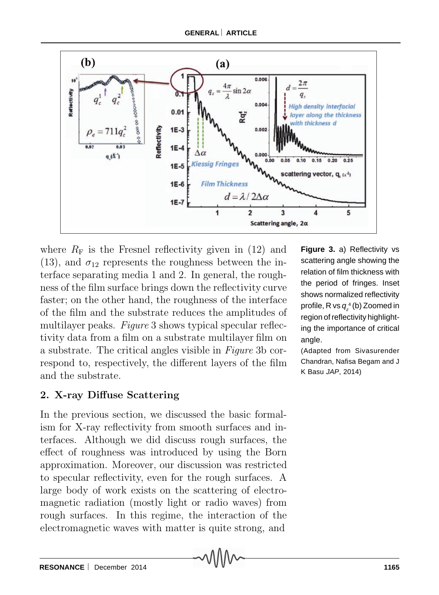

where  $R_F$  is the Fresnel reflectivity given in (12) and  $(13)$ , and  $\sigma_{12}$  represents the roughness between the interface separating media 1 and 2. In general, the roughness of the film surface brings down the reflectivity curve faster; on the other hand, the roughness of the interface of the film and the substrate reduces the amplitudes of multilayer peaks. *Figure* 3 shows typical specular reflectivity data from a film on a substrate multilayer film on a substrate. The critical angles visible in *Figure* 3b correspond to, respectively, the different layers of the film and the substrate.

# **2. X-ray Diffuse Scattering**

In the previous section, we discussed the basic formalism for X-ray reflectivity from smooth surfaces and interfaces. Although we did discuss rough surfaces, the effect of roughness was introduced by using the Born approximation. Moreover, our discussion was restricted to specular reflectivity, even for the rough surfaces. A large body of work exists on the scattering of electromagnetic radiation (mostly light or radio waves) from rough surfaces. In this regime, the interaction of the electromagnetic waves with matter is quite strong, and

**Figure 3.** a) Reflectivity vs scattering angle showing the relation of film thickness with the period of fringes. Inset shows normalized reflectivity profile, R vs  $q_z^{\,4}$  (b) Zoomed in region of reflectivity highlighting the importance of critical angle.

(Adapted from Sivasurender Chandran, Nafisa Begam and J K Basu *JAP*, 2014)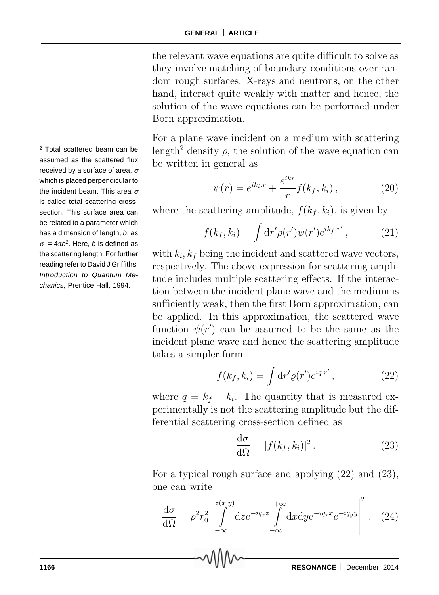the relevant wave equations are quite difficult to solve as they involve matching of boundary conditions over random rough surfaces. X-rays and neutrons, on the other hand, interact quite weakly with matter and hence, the solution of the wave equations can be performed under Born approximation.

For a plane wave incident on a medium with scattering length<sup>2</sup> density  $\rho$ , the solution of the wave equation can be written in general as

$$
\psi(r) = e^{ik_i \cdot r} + \frac{e^{ikr}}{r} f(k_f, k_i), \qquad (20)
$$

where the scattering amplitude,  $f(k_f, k_i)$ , is given by

$$
f(k_f, k_i) = \int \mathrm{d}r' \rho(r') \psi(r') e^{ik_f \cdot r'}, \qquad (21)
$$

with  $k_i$ ,  $k_f$  being the incident and scattered wave vectors, respectively. The above expression for scattering amplitude includes multiple scattering effects. If the interaction between the incident plane wave and the medium is sufficiently weak, then the first Born approximation, can be applied. In this approximation, the scattered wave function  $\psi(r')$  can be assumed to be the same as the incident plane wave and hence the scattering amplitude takes a simpler form

$$
f(k_f, k_i) = \int \mathrm{d}r' \varrho(r') e^{iq.r'}, \qquad (22)
$$

where  $q = k_f - k_i$ . The quantity that is measured experimentally is not the scattering amplitude but the differential scattering cross-section defined as

$$
\frac{\mathrm{d}\sigma}{\mathrm{d}\Omega} = |f(k_f, k_i)|^2. \tag{23}
$$

For a typical rough surface and applying (22) and (23), one can write

$$
\frac{d\sigma}{d\Omega} = \rho^2 r_0^2 \left| \int_{-\infty}^{z(x,y)} dz e^{-iq_z z} \int_{-\infty}^{+\infty} dx dy e^{-iq_x x} e^{-iq_y y} \right|^2. \quad (24)
$$

2 Total scattered beam can be assumed as the scattered flux received by a surface of area,  $\sigma$ which is placed perpendicular to the incident beam. This area  $\sigma$ is called total scattering crosssection. This surface area can be related to a parameter which has a dimension of length, *b*, as  $\sigma = 4\pi b^2$ . Here, *b* is defined as the scattering length. For further reading refer to David J Griffiths, *Introduction to Quantum Mechanics*, Prentice Hall, 1994.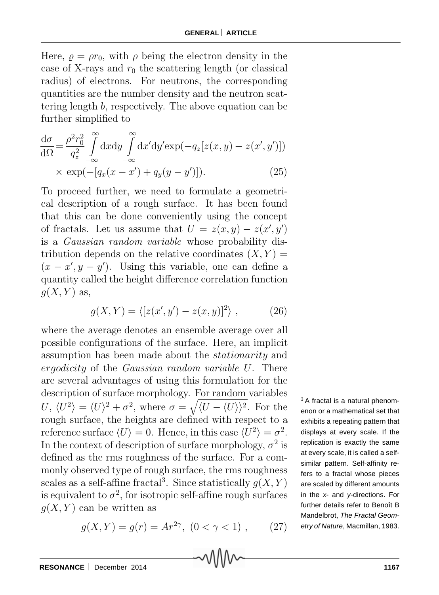Here,  $\rho = \rho r_0$ , with  $\rho$  being the electron density in the case of X-rays and  $r_0$  the scattering length (or classical radius) of electrons. For neutrons, the corresponding quantities are the number density and the neutron scattering length b, respectively. The above equation can be further simplified to

$$
\frac{d\sigma}{d\Omega} = \frac{\rho^2 r_0^2}{q_z^2} \int_{-\infty}^{\infty} dx dy \int_{-\infty}^{\infty} dx' dy' \exp(-q_z[z(x, y) - z(x', y')])
$$
  
 
$$
\times \exp(-[q_x(x - x') + q_y(y - y')]). \tag{25}
$$

To proceed further, we need to formulate a geometrical description of a rough surface. It has been found that this can be done conveniently using the concept of fractals. Let us assume that  $U = z(x, y) - z(x', y')$ is a *Gaussian random variable* whose probability distribution depends on the relative coordinates  $(X, Y) =$  $(x - x', y - y')$ . Using this variable, one can define a quantity called the height difference correlation function  $q(X, Y)$  as,

$$
g(X,Y) = \langle [z(x',y') - z(x,y)]^2 \rangle , \qquad (26)
$$

where the average denotes an ensemble average over all possible configurations of the surface. Here, an implicit assumption has been made about the stationarity and ergodicity of the *Gaussian random variable* <sup>U</sup>. There are several advantages of using this formulation for the description of surface morphology. For random variables U,  $\langle U^2 \rangle = \langle U \rangle^2 + \sigma^2$ , where  $\sigma = \sqrt{\langle U - \langle U \rangle \rangle^2}$ . For the rough surface, the heights are defined with respect to a reference surface  $\langle U \rangle = 0$ . Hence, in this case  $\langle U^2 \rangle = \sigma^2$ . In the context of description of surface morphology,  $\sigma^2$  is defined as the rms roughness of the surface. For a commonly observed type of rough surface, the rms roughness scales as a self-affine fractal<sup>3</sup>. Since statistically  $q(X, Y)$ is equivalent to  $\sigma^2$ , for isotropic self-affine rough surfaces  $q(X, Y)$  can be written as

$$
g(X,Y) = g(r) = Ar^{2\gamma}, (0 < \gamma < 1), (27)
$$

<sup>3</sup> A fractal is a natural phenomenon or a mathematical set that exhibits a repeating pattern that displays at every scale. If the replication is exactly the same at every scale, it is called a selfsimilar pattern. Self-affinity refers to a fractal whose pieces are scaled by different amounts in the *x*- and *y*-directions. For further details refer to Benoît B Mandelbrot, *The Fractal Geometry of Nature*, Macmillan, 1983.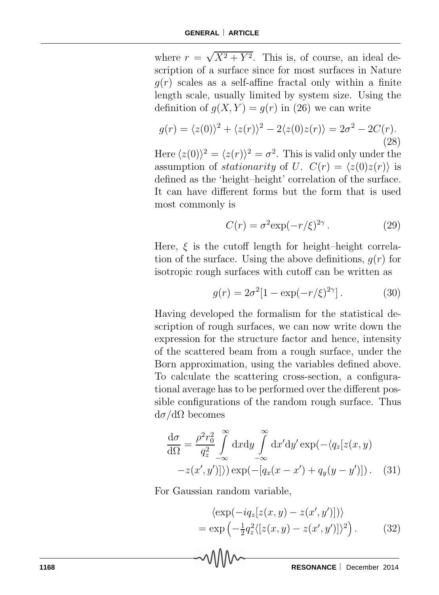where  $r = \sqrt{X^2 + Y^2}$ . This is, of course, an ideal description of a surface since for most surfaces in Nature  $q(r)$  scales as a self-affine fractal only within a finite length scale, usually limited by system size. Using the definition of  $q(X, Y) = q(r)$  in (26) we can write

$$
g(r) = \langle z(0) \rangle^2 + \langle z(r) \rangle^2 - 2\langle z(0)z(r) \rangle = 2\sigma^2 - 2C(r). \tag{28}
$$

Here  $\langle z(0)\rangle^2 = \langle z(r)\rangle^2 = \sigma^2$ . This is valid only under the assumption of *stationarity* of U.  $C(r) = \langle z(0)z(r) \rangle$  is defined as the 'height–height' correlation of the surface. It can have different forms but the form that is used most commonly is

$$
C(r) = \sigma^2 \exp(-r/\xi)^{2\gamma}.
$$
 (29)

Here,  $\xi$  is the cutoff length for height–height correlation of the surface. Using the above definitions,  $g(r)$  for isotropic rough surfaces with cutoff can be written as

$$
g(r) = 2\sigma^2 [1 - \exp(-r/\xi)^{2\gamma}].
$$
 (30)

Having developed the formalism for the statistical description of rough surfaces, we can now write down the expression for the structure factor and hence, intensity of the scattered beam from a rough surface, under the Born approximation, using the variables defined above. To calculate the scattering cross-section, a configurational average has to be performed over the different possible configurations of the random rough surface. Thus  $d\sigma/d\Omega$  becomes

$$
\frac{d\sigma}{d\Omega} = \frac{\rho^2 r_0^2}{q_z^2} \int_{-\infty}^{\infty} dx dy \int_{-\infty}^{\infty} dx' dy' \exp(-\langle q_z[z(x, y) - z(x', y')]\rangle) \exp(-[q_x(x - x') + q_y(y - y')]). \quad (31)
$$

For Gaussian random variable,

$$
\langle \exp(-iq_z[z(x,y) - z(x',y')]) \rangle
$$
  
= 
$$
\exp\left(-\frac{1}{2}q_z^2\langle [z(x,y) - z(x',y')] \rangle^2\right).
$$
 (32)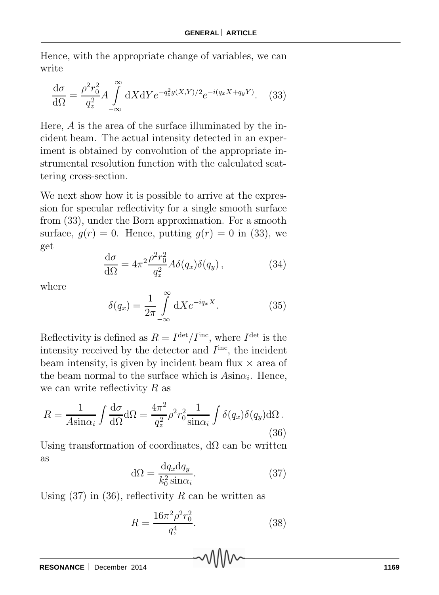Hence, with the appropriate change of variables, we can write

$$
\frac{\mathrm{d}\sigma}{\mathrm{d}\Omega} = \frac{\rho^2 r_0^2}{q_z^2} A \int_{-\infty}^{\infty} \mathrm{d}X \mathrm{d}Y e^{-q_z^2 g(X,Y)/2} e^{-i(q_x X + q_y Y)}.
$$
 (33)

Here, A is the area of the surface illuminated by the incident beam. The actual intensity detected in an experiment is obtained by convolution of the appropriate instrumental resolution function with the calculated scattering cross-section.

We next show how it is possible to arrive at the expression for specular reflectivity for a single smooth surface from (33), under the Born approximation. For a smooth surface,  $g(r) = 0$ . Hence, putting  $g(r) = 0$  in (33), we get

$$
\frac{\mathrm{d}\sigma}{\mathrm{d}\Omega} = 4\pi^2 \frac{\rho^2 r_0^2}{q_z^2} A \delta(q_x) \delta(q_y) , \qquad (34)
$$

where

$$
\delta(q_x) = \frac{1}{2\pi} \int_{-\infty}^{\infty} dX e^{-iq_x X}.
$$
 (35)

Reflectivity is defined as  $R = I^{\text{det}}/I^{\text{inc}}$ , where  $I^{\text{det}}$  is the intensity received by the detector and  $I<sup>inc</sup>$ , the incident beam intensity, is given by incident beam flux  $\times$  area of the beam normal to the surface which is  $A\sin\alpha_i$ . Hence, we can write reflectivity  $R$  as

$$
R = \frac{1}{A \sin \alpha_i} \int \frac{d\sigma}{d\Omega} d\Omega = \frac{4\pi^2}{q_z^2} \rho^2 r_0^2 \frac{1}{\sin \alpha_i} \int \delta(q_x) \delta(q_y) d\Omega.
$$
\n(36)

Using transformation of coordinates,  $d\Omega$  can be written as

$$
d\Omega = \frac{dq_x dq_y}{k_0^2 \sin \alpha_i}.
$$
 (37)

Using  $(37)$  in  $(36)$ , reflectivity R can be written as

$$
R = \frac{16\pi^2 \rho^2 r_0^2}{q_*^4}.
$$
\n(38)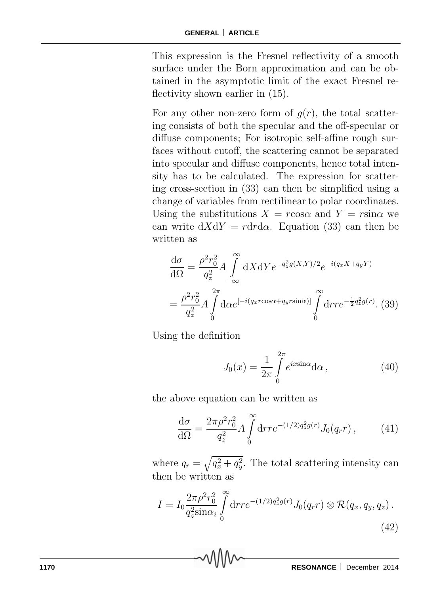This expression is the Fresnel reflectivity of a smooth surface under the Born approximation and can be obtained in the asymptotic limit of the exact Fresnel reflectivity shown earlier in (15).

For any other non-zero form of  $q(r)$ , the total scattering consists of both the specular and the off-specular or diffuse components; For isotropic self-affine rough surfaces without cutoff, the scattering cannot be separated into specular and diffuse components, hence total intensity has to be calculated. The expression for scattering cross-section in (33) can then be simplified using a change of variables from rectilinear to polar coordinates. Using the substitutions  $X = r \cos \alpha$  and  $Y = r \sin \alpha$  we can write  $dXdY = rdrd\alpha$ . Equation (33) can then be written as

$$
\frac{d\sigma}{d\Omega} = \frac{\rho^2 r_0^2}{q_z^2} A \int_{-\infty}^{\infty} dX dY e^{-q_z^2 g(X,Y)/2} e^{-i(q_x X + q_y Y)}
$$

$$
= \frac{\rho^2 r_0^2}{q_z^2} A \int_{0}^{2\pi} d\alpha e^{[-i(q_x r \cos \alpha + q_y r \sin \alpha)]} \int_{0}^{\infty} dr r e^{-\frac{1}{2} q_z^2 g(r)} .
$$
(39)

Using the definition

$$
J_0(x) = \frac{1}{2\pi} \int_0^{2\pi} e^{ix\sin\alpha} d\alpha, \qquad (40)
$$

the above equation can be written as

$$
\frac{d\sigma}{d\Omega} = \frac{2\pi\rho^2 r_0^2}{q_z^2} A \int_0^\infty dr r e^{-(1/2)q_z^2 g(r)} J_0(q_r r) , \qquad (41)
$$

where  $q_r = \sqrt{q_x^2 + q_y^2}$ . The total scattering intensity can then be written as

$$
I = I_0 \frac{2\pi \rho^2 r_0^2}{q_z^2 \sin \alpha_i} \int_0^\infty dr r e^{-(1/2) q_z^2 g(r)} J_0(q_r r) \otimes \mathcal{R}(q_x, q_y, q_z) .
$$
\n(42)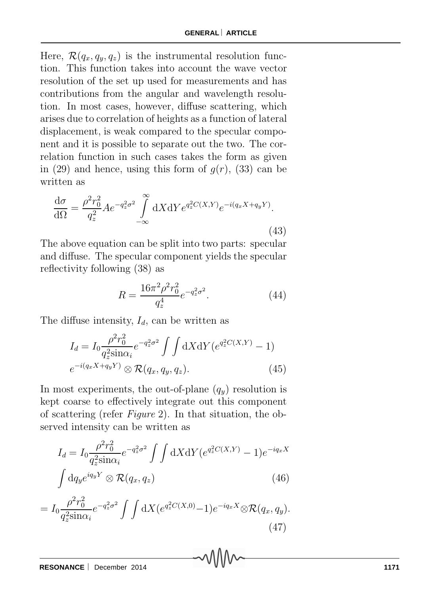Here,  $\mathcal{R}(q_x, q_y, q_z)$  is the instrumental resolution function. This function takes into account the wave vector resolution of the set up used for measurements and has contributions from the angular and wavelength resolution. In most cases, however, diffuse scattering, which arises due to correlation of heights as a function of lateral displacement, is weak compared to the specular component and it is possible to separate out the two. The correlation function in such cases takes the form as given in (29) and hence, using this form of  $g(r)$ , (33) can be written as

$$
\frac{\mathrm{d}\sigma}{\mathrm{d}\Omega} = \frac{\rho^2 r_0^2}{q_z^2} A e^{-q_z^2 \sigma^2} \int\limits_{-\infty}^{\infty} \mathrm{d}X \mathrm{d}Y e^{q_z^2 C(X,Y)} e^{-i(q_x X + q_y Y)}.
$$
\n(43)

The above equation can be split into two parts: specular and diffuse. The specular component yields the specular reflectivity following (38) as

$$
R = \frac{16\pi^2 \rho^2 r_0^2}{q_z^4} e^{-q_z^2 \sigma^2}.
$$
 (44)

The diffuse intensity, I*d*, can be written as

$$
I_d = I_0 \frac{\rho^2 r_0^2}{q_z^2 \sin \alpha_i} e^{-q_z^2 \sigma^2} \int \int dX dY (e^{q_z^2 C(X,Y)} - 1)
$$
  

$$
e^{-i(q_x X + q_y Y)} \otimes \mathcal{R}(q_x, q_y, q_z).
$$
 (45)

In most experiments, the out-of-plane  $(q_y)$  resolution is kept coarse to effectively integrate out this component of scattering (refer *Figure* 2). In that situation, the observed intensity can be written as

$$
I_d = I_0 \frac{\rho^2 r_0^2}{q_z^2 \sin \alpha_i} e^{-q_z^2 \sigma^2} \int \int dX dY (e^{q_z^2 C(X,Y)} - 1) e^{-iq_x X}
$$

$$
\int dq_y e^{iq_y Y} \otimes \mathcal{R}(q_x, q_z)
$$
(46)

$$
= I_0 \frac{\rho^2 r_0^2}{q_z^2 \sin \alpha_i} e^{-q_z^2 \sigma^2} \int \int dX (e^{q_z^2 C(X,0)} - 1) e^{-iq_x X} \otimes \mathcal{R}(q_x, q_y).
$$
\n(47)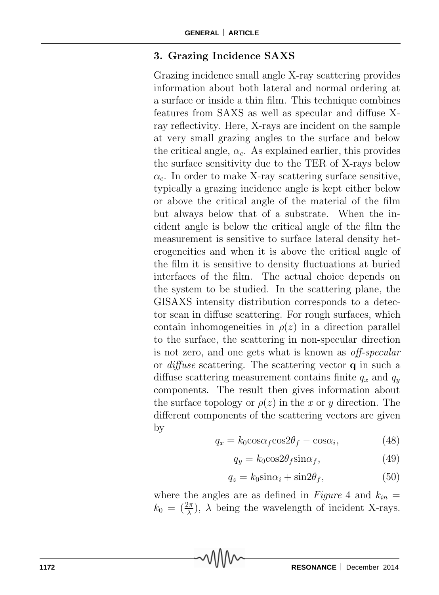# **3. Grazing Incidence SAXS**

Grazing incidence small angle X-ray scattering provides information about both lateral and normal ordering at a surface or inside a thin film. This technique combines features from SAXS as well as specular and diffuse Xray reflectivity. Here, X-rays are incident on the sample at very small grazing angles to the surface and below the critical angle,  $\alpha_c$ . As explained earlier, this provides the surface sensitivity due to the TER of X-rays below  $\alpha_c$ . In order to make X-ray scattering surface sensitive, typically a grazing incidence angle is kept either below or above the critical angle of the material of the film but always below that of a substrate. When the incident angle is below the critical angle of the film the measurement is sensitive to surface lateral density heterogeneities and when it is above the critical angle of the film it is sensitive to density fluctuations at buried interfaces of the film. The actual choice depends on the system to be studied. In the scattering plane, the GISAXS intensity distribution corresponds to a detector scan in diffuse scattering. For rough surfaces, which contain inhomogeneities in  $\rho(z)$  in a direction parallel to the surface, the scattering in non-specular direction is not zero, and one gets what is known as *off-specular* or *diffuse* scattering. The scattering vector **<sup>q</sup>** in such a diffuse scattering measurement contains finite  $q_x$  and  $q_y$ components. The result then gives information about the surface topology or  $\rho(z)$  in the x or y direction. The different components of the scattering vectors are given by

$$
q_x = k_0 \cos \alpha_f \cos 2\theta_f - \cos \alpha_i, \qquad (48)
$$

$$
q_y = k_0 \cos 2\theta_f \sin \alpha_f,\tag{49}
$$

$$
q_z = k_0 \sin \alpha_i + \sin 2\theta_f, \tag{50}
$$

where the angles are as defined in *Figure* 4 and  $k_{in}$  =  $k_0 = \left(\frac{2\pi}{\lambda}\right)$ ,  $\lambda$  being the wavelength of incident X-rays.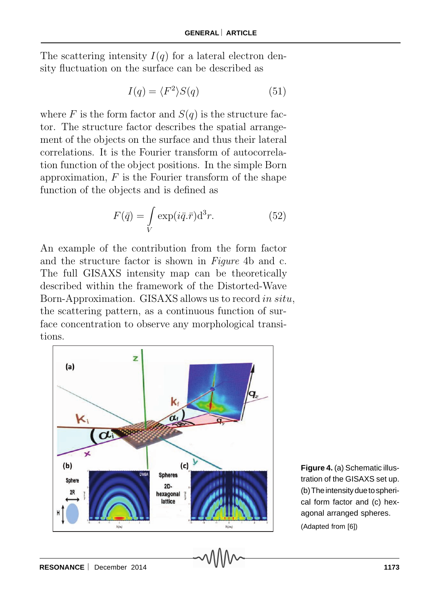The scattering intensity  $I(q)$  for a lateral electron density fluctuation on the surface can be described as

$$
I(q) = \langle F^2 \rangle S(q) \tag{51}
$$

where F is the form factor and  $S(q)$  is the structure factor. The structure factor describes the spatial arrangement of the objects on the surface and thus their lateral correlations. It is the Fourier transform of autocorrelation function of the object positions. In the simple Born approximation,  $F$  is the Fourier transform of the shape function of the objects and is defined as

$$
F(\bar{q}) = \int\limits_V \exp(i\bar{q}.\bar{r}) \mathrm{d}^3 r. \tag{52}
$$

An example of the contribution from the form factor and the structure factor is shown in *Figure* 4b and c. The full GISAXS intensity map can be theoretically described within the framework of the Distorted-Wave Born-Approximation. GISAXS allows us to record in situ, the scattering pattern, as a continuous function of surface concentration to observe any morphological transitions.



**Figure 4.** (a) Schematic illustration of the GISAXS set up. (b) The intensity due to spherical form factor and (c) hexagonal arranged spheres. (Adapted from [6])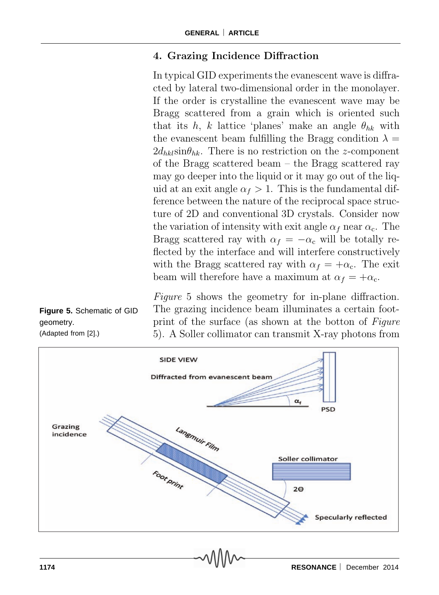# **4. Grazing Incidence Diffraction**

In typical GID experiments the evanescent wave is diffracted by lateral two-dimensional order in the monolayer. If the order is crystalline the evanescent wave may be Bragg scattered from a grain which is oriented such that its h, k lattice 'planes' make an angle  $\theta_{hk}$  with the evanescent beam fulfilling the Bragg condition  $\lambda =$  $2d_{hkl}$ sin $\theta_{hk}$ . There is no restriction on the *z*-component of the Bragg scattered beam – the Bragg scattered ray may go deeper into the liquid or it may go out of the liquid at an exit angle  $\alpha_f > 1$ . This is the fundamental difference between the nature of the reciprocal space structure of 2D and conventional 3D crystals. Consider now the variation of intensity with exit angle  $\alpha_f$  near  $\alpha_c$ . The Bragg scattered ray with  $\alpha_f = -\alpha_c$  will be totally reflected by the interface and will interfere constructively with the Bragg scattered ray with  $\alpha_f = +\alpha_c$ . The exit beam will therefore have a maximum at  $\alpha_f = +\alpha_c$ .

**Figure 5.** Schematic of GID geometry. (Adapted from [2].)

*Figure* 5 shows the geometry for in-plane diffraction. The grazing incidence beam illuminates a certain footprint of the surface (as shown at the botton of *Figure* 5). A Soller collimator can transmit X-ray photons from

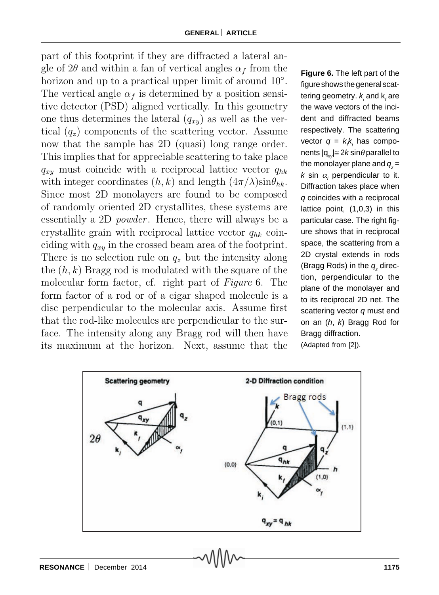part of this footprint if they are diffracted a lateral angle of  $2\theta$  and within a fan of vertical angles  $\alpha_f$  from the horizon and up to a practical upper limit of around 10*◦*. The vertical angle  $\alpha_f$  is determined by a position sensitive detector (PSD) aligned vertically. In this geometry one thus determines the lateral  $(q_{xy})$  as well as the vertical  $(q_z)$  components of the scattering vector. Assume now that the sample has 2D (quasi) long range order. This implies that for appreciable scattering to take place  $q_{xy}$  must coincide with a reciprocal lattice vector  $q_{hk}$ with integer coordinates  $(h, k)$  and length  $(4\pi/\lambda)\sin\theta_{hk}$ . Since most 2D monolayers are found to be composed of randomly oriented 2D crystallites, these systems are essentially a 2D *powder*. Hence, there will always be a crystallite grain with reciprocal lattice vector q*hk* coinciding with q*xy* in the crossed beam area of the footprint. There is no selection rule on  $q_z$  but the intensity along the  $(h, k)$  Bragg rod is modulated with the square of the molecular form factor, cf. right part of *Figure* 6. The form factor of a rod or of a cigar shaped molecule is a disc perpendicular to the molecular axis. Assume first that the rod-like molecules are perpendicular to the surface. The intensity along any Bragg rod will then have its maximum at the horizon. Next, assume that the

**Figure 6.** The left part of the figure shows the general scattering geometry.  $\bm{k}_{_{\!f}}$  and  $\bm{{\mathsf{k}}}_{_{\!f}}$  are the wave vectors of the incident and diffracted beams respectively. The scattering vector  $q = k_i k_i$  has components  $|q_{\nu}| \leq 2k \sin \theta$  parallel to the monolayer plane and  $q_z$   $=$ *k* sin  $\alpha$ <sub>*f*</sub> perpendicular to it. Diffraction takes place when *q* coincides with a reciprocal lattice point, (1,0,3) in this particular case. The right figure shows that in reciprocal space, the scattering from a 2D crystal extends in rods (Bragg Rods) in the  $q_z$  direction, perpendicular to the plane of the monolayer and to its reciprocal 2D net. The scattering vector *q* must end on an (*h*, *k*) Bragg Rod for Bragg diffraction. (Adapted from [2]).